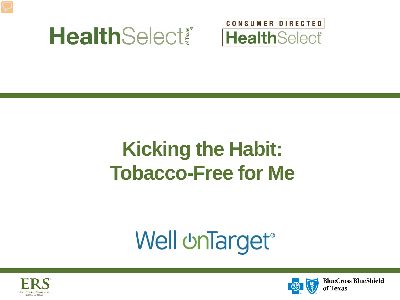



### **Kicking the Habit: Tobacco-Free for Me**

# **Well unTarget®**



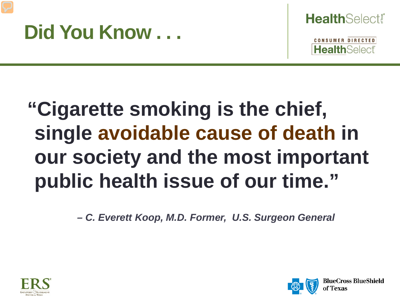#### **Did You Know . . .**



**CONSUMER DIRECTED HealthSelect** 

## **"Cigarette smoking is the chief, single avoidable cause of death in our society and the most important public health issue of our time."**

 *– C. Everett Koop, M.D. Former, U.S. Surgeon General*



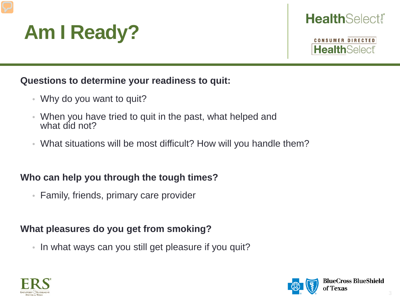

#### **Health**Select

**CONSUMER DIRECTED HealthSelect** 

#### **Questions to determine your readiness to quit:**

- Why do you want to quit?
- When you have tried to quit in the past, what helped and what did not?
- What situations will be most difficult? How will you handle them?

#### **Who can help you through the tough times?**

• Family, friends, primary care provider

#### **What pleasures do you get from smoking?**

• In what ways can you still get pleasure if you quit?



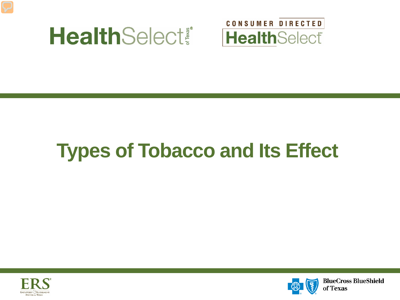



## **Types of Tobacco and Its Effect**



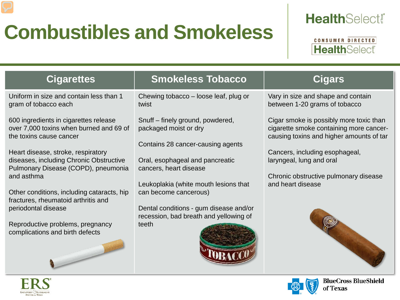## **Combustibles and Smokeless**

#### **HealthSelect!**

CONSUMER DIRECTED **Health**Select

of Texas

| <b>Cigarettes</b>                                                                                                                                                                                                                                                                                                                                                                                                                    | <b>Smokeless Tobacco</b>                                                                                                                                                                                                                                                                                                   | <b>Cigars</b>                                                                                                                                                                                                                                              |
|--------------------------------------------------------------------------------------------------------------------------------------------------------------------------------------------------------------------------------------------------------------------------------------------------------------------------------------------------------------------------------------------------------------------------------------|----------------------------------------------------------------------------------------------------------------------------------------------------------------------------------------------------------------------------------------------------------------------------------------------------------------------------|------------------------------------------------------------------------------------------------------------------------------------------------------------------------------------------------------------------------------------------------------------|
| Uniform in size and contain less than 1<br>gram of tobacco each                                                                                                                                                                                                                                                                                                                                                                      | Chewing tobacco - loose leaf, plug or<br>twist                                                                                                                                                                                                                                                                             | Vary in size and shape and contain<br>between 1-20 grams of tobacco                                                                                                                                                                                        |
| 600 ingredients in cigarettes release<br>over 7,000 toxins when burned and 69 of<br>the toxins cause cancer<br>Heart disease, stroke, respiratory<br>diseases, including Chronic Obstructive<br>Pulmonary Disease (COPD), pneumonia<br>and asthma<br>Other conditions, including cataracts, hip<br>fractures, rheumatoid arthritis and<br>periodontal disease<br>Reproductive problems, pregnancy<br>complications and birth defects | Snuff – finely ground, powdered,<br>packaged moist or dry<br>Contains 28 cancer-causing agents<br>Oral, esophageal and pancreatic<br>cancers, heart disease<br>Leukoplakia (white mouth lesions that<br>can become cancerous)<br>Dental conditions - gum disease and/or<br>recession, bad breath and yellowing of<br>teeth | Cigar smoke is possibly more toxic than<br>cigarette smoke containing more cancer-<br>causing toxins and higher amounts of tar<br>Cancers, including esophageal,<br>laryngeal, lung and oral<br>Chronic obstructive pulmonary disease<br>and heart disease |
|                                                                                                                                                                                                                                                                                                                                                                                                                                      |                                                                                                                                                                                                                                                                                                                            |                                                                                                                                                                                                                                                            |
|                                                                                                                                                                                                                                                                                                                                                                                                                                      |                                                                                                                                                                                                                                                                                                                            | <b>BlueCross BlueShield</b>                                                                                                                                                                                                                                |

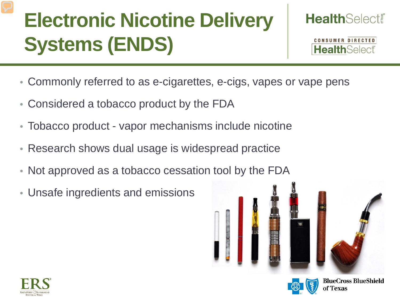## **Electronic Nicotine Delivery Systems (ENDS)**



CONSUMER DIRECTED **HealthSelect** 

- Commonly referred to as e-cigarettes, e-cigs, vapes or vape pens
- Considered a tobacco product by the FDA
- Tobacco product vapor mechanisms include nicotine
- Research shows dual usage is widespread practice
- Not approved as a tobacco cessation tool by the FDA
- Unsafe ingredients and emissions







**BlueCross BlueShield**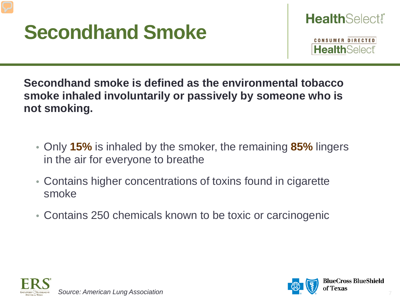### **Secondhand Smoke**

**CONSUMER DIRECTED HealthSelect** 

**Secondhand smoke is defined as the environmental tobacco smoke inhaled involuntarily or passively by someone who is not smoking.**

- Only **15%** is inhaled by the smoker, the remaining **85%** lingers in the air for everyone to breathe
- Contains higher concentrations of toxins found in cigarette smoke
- Contains 250 chemicals known to be toxic or carcinogenic



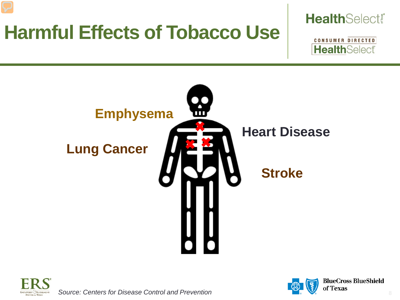### **Harmful Effects of Tobacco Use**

#### **Health**Select!





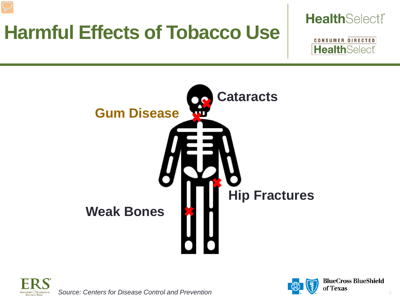### **Harmful Effects of Tobacco Use**









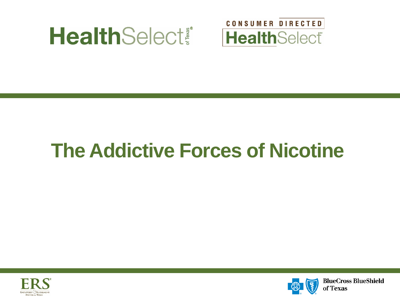



### **The Addictive Forces of Nicotine**



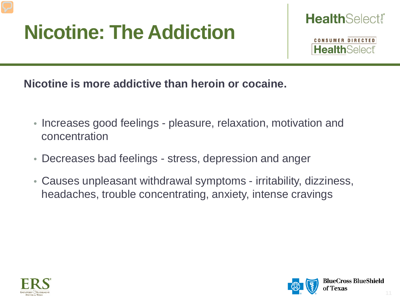## **Nicotine: The Addiction**



CONSUMER DIRECTED **HealthSelect** 

**Nicotine is more addictive than heroin or cocaine.**

- Increases good feelings pleasure, relaxation, motivation and concentration
- Decreases bad feelings stress, depression and anger
- Causes unpleasant withdrawal symptoms irritability, dizziness, headaches, trouble concentrating, anxiety, intense cravings



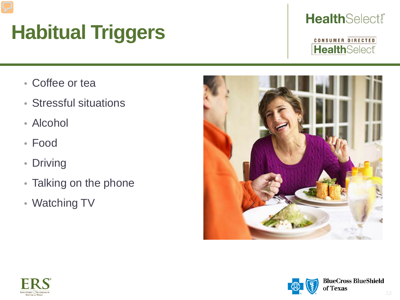## **Habitual Triggers**

#### **HealthSelect!**

- Coffee or tea
- Stressful situations
- Alcohol
- Food
- Driving
- Talking on the phone
- Watching TV





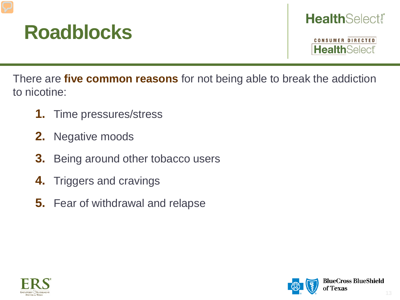#### **Roadblocks**

#### **HealthSelect®**

**CONSUMER DIRECTED HealthSelect** 

There are **five common reasons** for not being able to break the addiction to nicotine:

- **1.** Time pressures/stress
- **2.** Negative moods
- **3.** Being around other tobacco users
- **4.** Triggers and cravings
- **5.** Fear of withdrawal and relapse



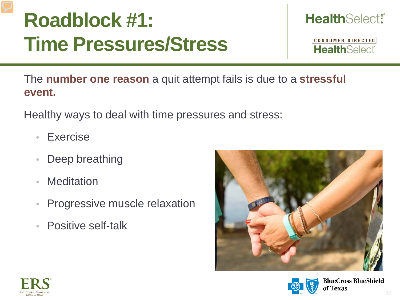## **Roadblock #1: Time Pressures/Stress**

**HealthSelect!** 

CONSUMER DIRECTED **HealthSelect** 

The **number one reason** a quit attempt fails is due to a **stressful event.**

Healthy ways to deal with time pressures and stress:

- Exercise
- Deep breathing
- **Meditation**
- Progressive muscle relaxation
- Positive self-talk





**BlueCross BlueShield** f Texas

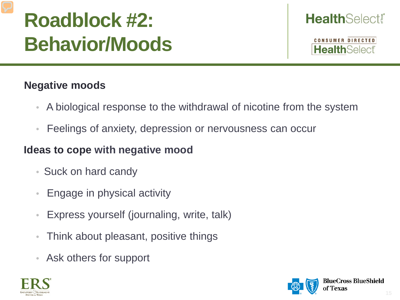## **Roadblock #2: Behavior/Moods**

#### **Health**Select

**CONSUMER DIRECTED HealthSelect** 

#### **Negative moods**

- A biological response to the withdrawal of nicotine from the system
- Feelings of anxiety, depression or nervousness can occur

#### **Ideas to cope with negative mood**

- Suck on hard candy
- Engage in physical activity
- Express yourself (journaling, write, talk)
- Think about pleasant, positive things
- Ask others for support



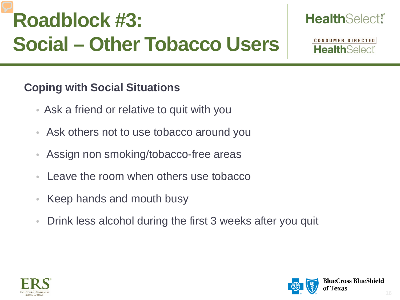## **Roadblock #3: Social – Other Tobacco Users**

#### **Coping with Social Situations**

- Ask a friend or relative to quit with you
- Ask others not to use tobacco around you
- Assign non smoking/tobacco-free areas
- Leave the room when others use tobacco
- Keep hands and mouth busy
- Drink less alcohol during the first 3 weeks after you quit





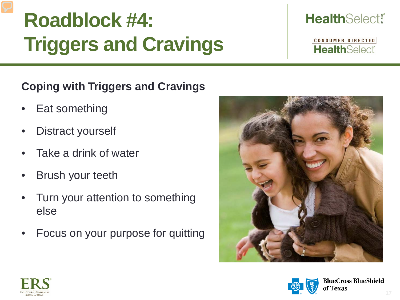## **Roadblock #4: Triggers and Cravings**

#### **HealthSelect!**

CONSUMER DIRECTED **HealthSelect** 

#### **Coping with Triggers and Cravings**

- Eat something
- Distract yourself
- Take a drink of water
- **Brush your teeth**
- Turn your attention to something else
- Focus on your purpose for quitting





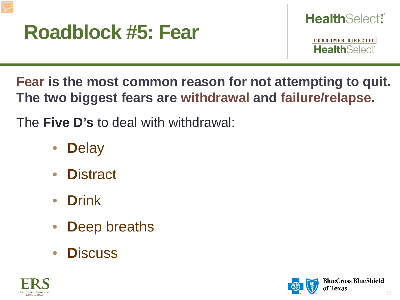

CONSUMER DIRECTED **Health**Select

**Fear is the most common reason for not attempting to quit. The two biggest fears are withdrawal and failure/relapse.**

The **Five D's** to deal with withdrawal:

- **D**elay
- **D**istract
- **D**rink
- **Deep breaths**
- **D**iscuss



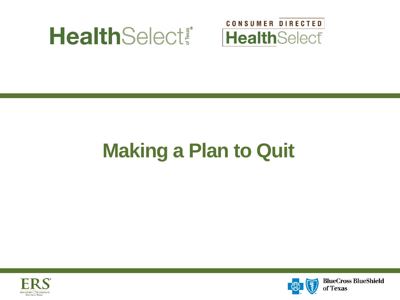



## **Making a Plan to Quit**





**BlueCross BlueShield** of Texas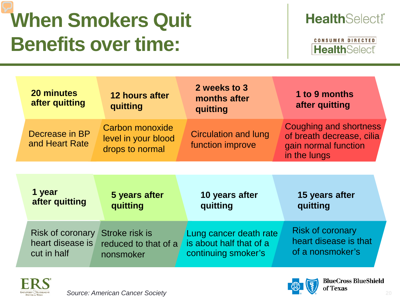## **When Smokers Quit Benefits over time:**

#### **HealthSelect!**

| <b>20 minutes</b><br>after quitting | 12 hours after<br>quitting                                                                                                        | 2 weeks to 3<br>months after<br>quitting                                                                                           | 1 to 9 months<br>after quitting                                                                                                    |
|-------------------------------------|-----------------------------------------------------------------------------------------------------------------------------------|------------------------------------------------------------------------------------------------------------------------------------|------------------------------------------------------------------------------------------------------------------------------------|
| Decrease in BP<br>and Heart Rate    | Carbon monoxide<br>level in your blood<br>drops to normal                                                                         | <b>Circulation and lung</b><br>function improve                                                                                    | Coughing and shortness<br>of breath decrease, cilia<br>gain normal function<br>in the lungs                                        |
|                                     |                                                                                                                                   |                                                                                                                                    |                                                                                                                                    |
| 1 year<br>after quitting            | 5 years after<br>and the company of the company of the company of the company of the company of the company of the company of the | 10 years after<br>and the company of the company of the company of the company of the company of the company of the company of the | 15 years after<br>and the company of the company of the company of the company of the company of the company of the company of the |

| after quitting                                                     | quitting                          | quitting                                                                 | quitting                                                             |
|--------------------------------------------------------------------|-----------------------------------|--------------------------------------------------------------------------|----------------------------------------------------------------------|
| Risk of coronary Stroke risk is<br>heart disease is<br>cut in half | reduced to that of a<br>nonsmoker | Lung cancer death rate<br>is about half that of a<br>continuing smoker's | <b>Risk of coronary</b><br>heart disease is that<br>of a nonsmoker's |





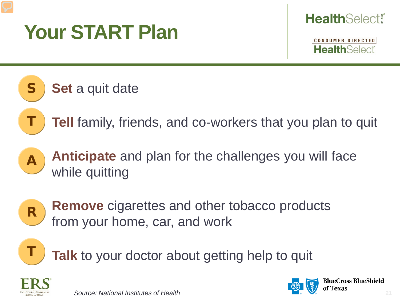## **Your START Plan**



**CONSUMER DIRECTED Health**Select

#### **Set** a quit date

**Tell** family, friends, and co-workers that you plan to quit



S

T

**Anticipate** and plan for the challenges you will face while quitting



**Remove** cigarettes and other tobacco products from your home, car, and work



Talk to your doctor about getting help to quit





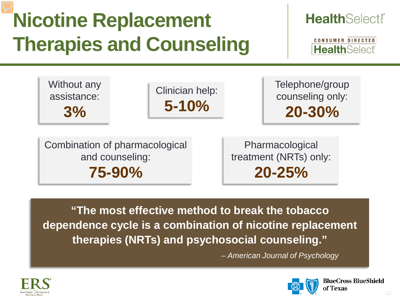## **Nicotine Replacement Therapies and Counseling**

#### **HealthSelect®**

CONSUMER DIRECTED **HealthSelect** 



Clinician help: **5-10%**

Telephone/group counseling only: **20-30%**

Combination of pharmacological and counseling: **75-90%**

Pharmacological treatment (NRTs) only: **20-25%**

**"The most effective method to break the tobacco dependence cycle is a combination of nicotine replacement therapies (NRTs) and psychosocial counseling."**

*– American Journal of Psychology*



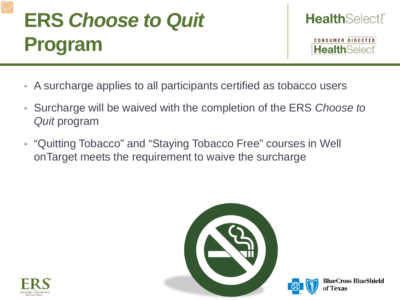## **ERS** *Choose to Quit*  **Program**



- A surcharge applies to all participants certified as tobacco users
- Surcharge will be waived with the completion of the ERS *Choose to Quit* program
- "Quitting Tobacco" and "Staying Tobacco Free" courses in Well onTarget meets the requirement to waive the surcharge